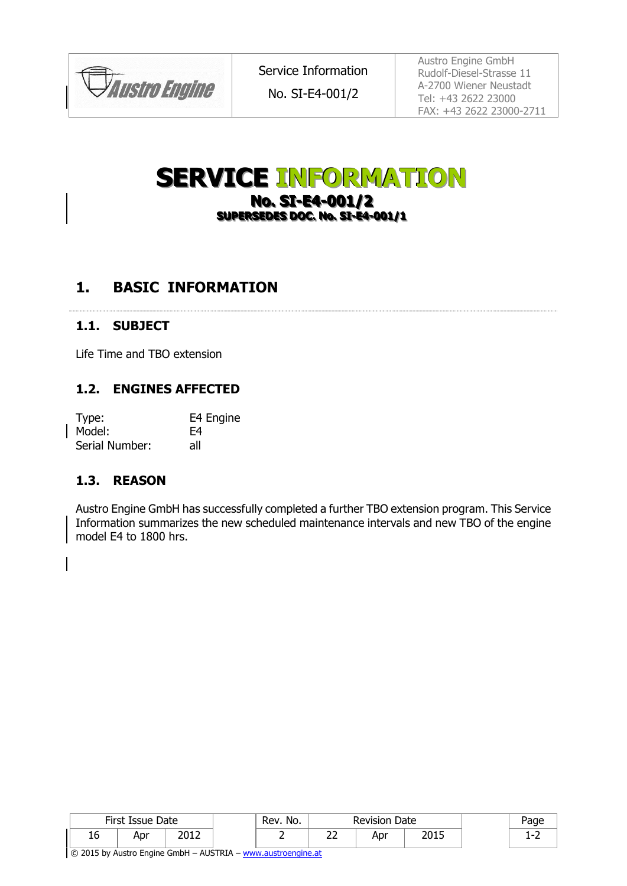

Service Information

No. SI-E4-001/2

Austro Engine GmbH Rudolf-Diesel-Strasse 11 A-2700 Wiener Neustadt Tel: +43 2622 23000 FAX: +43 2622 23000-2711

# **SERVICE INFORMATION No. SI-E4-001/2 SUPERSEDES DOC. No. SI-E4-001/1**

## **1. BASIC INFORMATION**

#### **1.1. SUBJECT**

Life Time and TBO extension

#### **1.2. ENGINES AFFECTED**

| Type:          | E4 Engine |
|----------------|-----------|
| Model:         | F4        |
| Serial Number: | all       |

#### **1.3. REASON**

Austro Engine GmbH has successfully completed a further TBO extension program. This Service Information summarizes the new scheduled maintenance intervals and new TBO of the engine model E4 to 1800 hrs.

| First Issue Date |     | Rev. No. | <b>Revision Date</b> |               | aae |              |  |
|------------------|-----|----------|----------------------|---------------|-----|--------------|--|
| Tp               | Apr | ר ו חר   |                      | --<br>ے<br>__ | Apr | つの1に<br>∠∪⊥J |  |

© 2015 by Austro Engine GmbH - AUSTRIA - [www.austroengine.at](http://www.austroengine.at/)